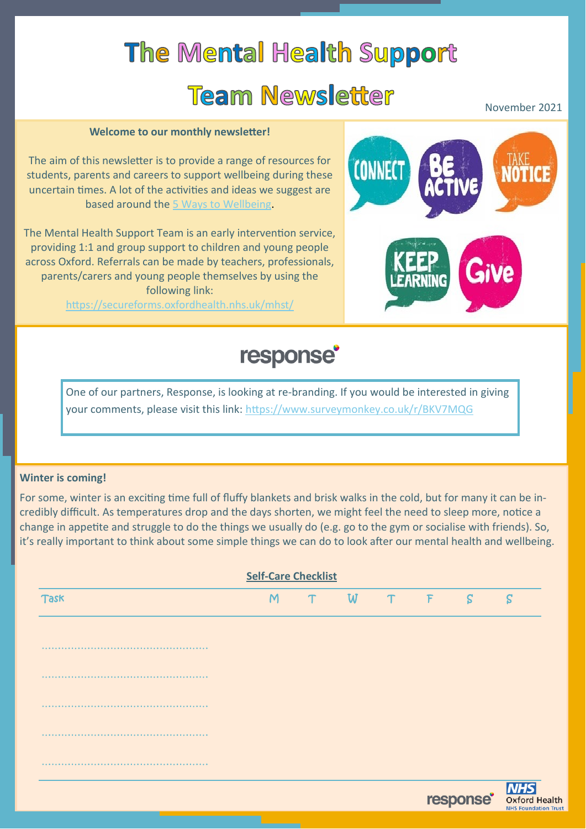# **The Mental Health Support Team Newsletter**

November 2021

#### **Welcome to our monthly newsletter!**

The aim of this newsletter is to provide a range of resources for students, parents and careers to support wellbeing during these uncertain times. A lot of the activities and ideas we suggest are based around the [5 Ways to Wellbeing.](https://www.nhs.uk/mental-health/self-help/guides-tools-and-activities/five-steps-to-mental-wellbeing/) 

The Mental Health Support Team is an early intervention service, providing 1:1 and group support to children and young people across Oxford. Referrals can be made by teachers, professionals, parents/carers and young people themselves by using the following link:

<https://secureforms.oxfordhealth.nhs.uk/mhst/>



# response<sup>®</sup>

One of our partners, Response, is looking at re-branding. If you would be interested in giving your comments, please visit this link: <https://www.surveymonkey.co.uk/r/BKV7MQG>

#### **Winter is coming!**

For some, winter is an exciting time full of fluffy blankets and brisk walks in the cold, but for many it can be incredibly difficult. As temperatures drop and the days shorten, we might feel the need to sleep more, notice a change in appetite and struggle to do the things we usually do (e.g. go to the gym or socialise with friends). So, it's really important to think about some simple things we can do to look after our mental health and wellbeing.

| <b>Self-Care Checklist</b> |   |   |       |  |  |   |                                                         |
|----------------------------|---|---|-------|--|--|---|---------------------------------------------------------|
| Task                       | M | T | W T F |  |  | S | S                                                       |
|                            |   |   |       |  |  |   |                                                         |
| .                          |   |   |       |  |  |   |                                                         |
|                            |   |   |       |  |  |   |                                                         |
|                            |   |   |       |  |  |   |                                                         |
|                            |   |   |       |  |  |   |                                                         |
|                            |   |   |       |  |  |   |                                                         |
|                            |   |   |       |  |  |   | <b>TESPONSE DESPONSE</b><br><b>NHS Foundation Trust</b> |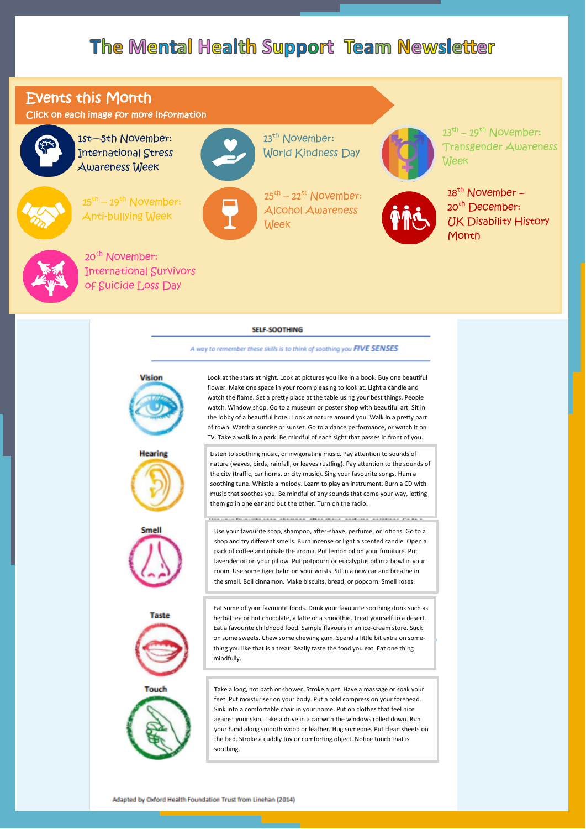## The Mental Health Support Team Newsletter